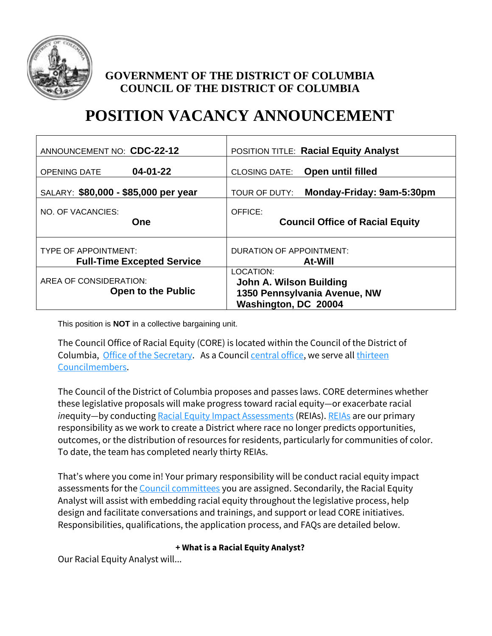

## **GOVERNMENT OF THE DISTRICT OF COLUMBIA COUNCIL OF THE DISTRICT OF COLUMBIA**

# **POSITION VACANCY ANNOUNCEMENT**

| ANNOUNCEMENT NO: CDC-22-12                          | <b>POSITION TITLE: Racial Equity Analyst</b>                                                 |
|-----------------------------------------------------|----------------------------------------------------------------------------------------------|
| $04 - 01 - 22$                                      | <b>Open until filled</b>                                                                     |
| <b>OPENING DATE</b>                                 | <b>CLOSING DATE:</b>                                                                         |
| SALARY: \$80,000 - \$85,000 per year                | Monday-Friday: 9am-5:30pm<br>TOUR OF DUTY:                                                   |
| NO. OF VACANCIES:                                   | OFFICE:                                                                                      |
| One                                                 | <b>Council Office of Racial Equity</b>                                                       |
| <b>TYPE OF APPOINTMENT:</b>                         | <b>DURATION OF APPOINTMENT:</b>                                                              |
| <b>Full-Time Excepted Service</b>                   | <b>At-Will</b>                                                                               |
| AREA OF CONSIDERATION:<br><b>Open to the Public</b> | LOCATION:<br>John A. Wilson Building<br>1350 Pennsylvania Avenue, NW<br>Washington, DC 20004 |

This position is **NOT** in a collective bargaining unit.

The Council Office of Racial Equity (CORE) is located within the Council of the District of Columbia, [Office of the Secretary.](https://www.dccouncilsecretary.com/) As a Council [central office,](https://dccouncil.us/central-offices/) we serve all [thirteen](https://dccouncil.us/councilmembers/)  [Councilmembers.](https://dccouncil.us/councilmembers/)

The Council of the District of Columbia proposes and passes laws. CORE determines whether these legislative proposals will make progress toward racial equity—or exacerbate racial *inequity—by conductin[g Racial Equity Impact Assessments](https://www.dcracialequity.org/racial-equity-impact-assessments) (REIAs)[. REIAs](https://www.dcracialequity.org/reia-database) are our primary* responsibility as we work to create a District where race no longer predicts opportunities, outcomes, or the distribution of resources for residents, particularly for communities of color. To date, the team has completed nearly thirty REIAs.

That's where you come in! Your primary responsibility will be conduct racial equity impact assessments for th[e Council committees](https://dccouncil.us/committees-for-council-period-23/) you are assigned. Secondarily, the Racial Equity Analyst will assist with embedding racial equity throughout the legislative process, help design and facilitate conversations and trainings, and support or lead CORE initiatives. Responsibilities, qualifications, the application process, and FAQs are detailed below.

#### **+ What is a Racial Equity Analyst?**

Our Racial Equity Analyst will...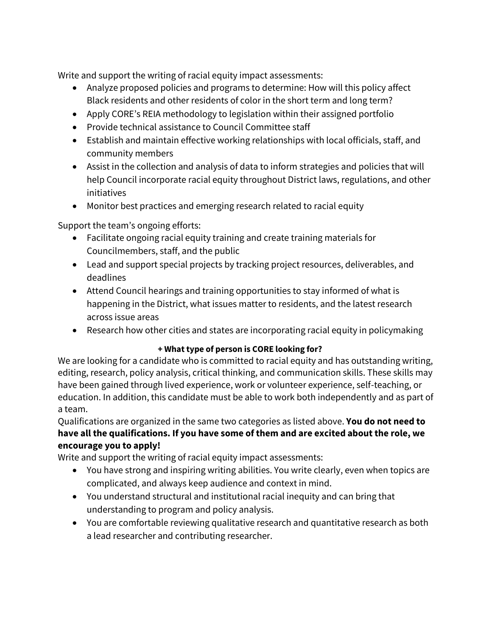Write and support the writing of racial equity impact assessments:

- Analyze proposed policies and programs to determine: How will this policy affect Black residents and other residents of color in the short term and long term?
- Apply CORE's REIA methodology to legislation within their assigned portfolio
- Provide technical assistance to Council Committee staff
- Establish and maintain effective working relationships with local officials, staff, and community members
- Assist in the collection and analysis of data to inform strategies and policies that will help Council incorporate racial equity throughout District laws, regulations, and other initiatives
- Monitor best practices and emerging research related to racial equity

Support the team's ongoing efforts:

- Facilitate ongoing racial equity training and create training materials for Councilmembers, staff, and the public
- Lead and support special projects by tracking project resources, deliverables, and deadlines
- Attend Council hearings and training opportunities to stay informed of what is happening in the District, what issues matter to residents, and the latest research across issue areas
- Research how other cities and states are incorporating racial equity in policymaking

## **+ What type of person is CORE looking for?**

We are looking for a candidate who is committed to racial equity and has outstanding writing, editing, research, policy analysis, critical thinking, and communication skills. These skills may have been gained through lived experience, work or volunteer experience, self-teaching, or education. In addition, this candidate must be able to work both independently and as part of a team.

Qualifications are organized in the same two categories as listed above. **You do not need to have all the qualifications. If you have some of them and are excited about the role, we encourage you to apply!**

Write and support the writing of racial equity impact assessments:

- You have strong and inspiring writing abilities. You write clearly, even when topics are complicated, and always keep audience and context in mind.
- You understand structural and institutional racial inequity and can bring that understanding to program and policy analysis.
- You are comfortable reviewing qualitative research and quantitative research as both a lead researcher and contributing researcher.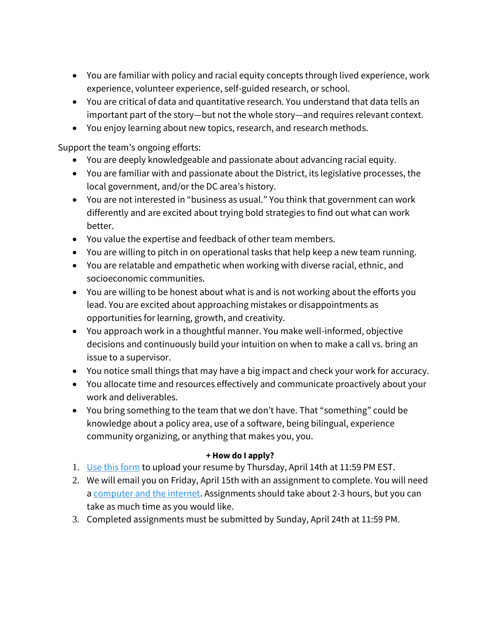- You are familiar with policy and racial equity concepts through lived experience, work experience, volunteer experience, self-guided research, or school.
- You are critical of data and quantitative research. You understand that data tells an important part of the story—but not the whole story—and requires relevant context.
- You enjoy learning about new topics, research, and research methods.

Support the team's ongoing efforts:

- You are deeply knowledgeable and passionate about advancing racial equity.
- You are familiar with and passionate about the District, its legislative processes, the local government, and/or the DC area's history.
- You are not interested in "business as usual." You think that government can work differently and are excited about trying bold strategies to find out what can work better.
- You value the expertise and feedback of other team members.
- You are willing to pitch in on operational tasks that help keep a new team running.
- You are relatable and empathetic when working with diverse racial, ethnic, and socioeconomic communities.
- You are willing to be honest about what is and is not working about the efforts you lead. You are excited about approaching mistakes or disappointments as opportunities for learning, growth, and creativity.
- You approach work in a thoughtful manner. You make well-informed, objective decisions and continuously build your intuition on when to make a call vs. bring an issue to a supervisor.
- You notice small things that may have a big impact and check your work for accuracy.
- You allocate time and resources effectively and communicate proactively about your work and deliverables.
- You bring something to the team that we don't have. That "something" could be knowledge about a policy area, use of a software, being bilingual, experience community organizing, or anything that makes you, you.

#### **+ How do I apply?**

- 1. [Use this form](https://survey.alchemer.com/s3/6794545/Will-you-be-CORE-s-Racial-Equity-Analyst) to upload your resume by Thursday, April 14th at 11:59 PM EST.
- 2. We will email you on Friday, April 15th with an assignment to complete. You will need [a computer and the internet.](https://www.dclibrary.org/hours-locations) Assignments should take about 2-3 hours, but you can take as much time as you would like.
- 3. Completed assignments must be submitted by Sunday, April 24th at 11:59 PM.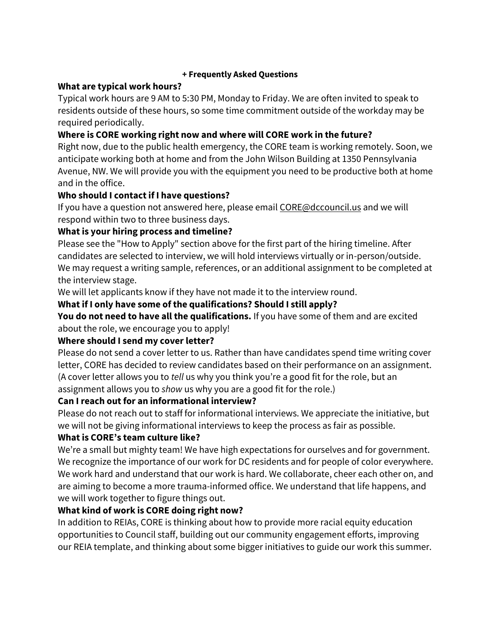#### **+ Frequently Asked Questions**

#### **What are typical work hours?**

Typical work hours are 9 AM to 5:30 PM, Monday to Friday. We are often invited to speak to residents outside of these hours, so some time commitment outside of the workday may be required periodically.

## **Where is CORE working right now and where will CORE work in the future?**

Right now, due to the public health emergency, the CORE team is working remotely. Soon, we anticipate working both at home and from the John Wilson Building at 1350 Pennsylvania Avenue, NW. We will provide you with the equipment you need to be productive both at home and in the office.

## **Who should I contact if I have questions?**

If you have a question not answered here, please email [CORE@dccouncil.us](mailto:CORE@dccouncil.us) and we will respond within two to three business days.

## **What is your hiring process and timeline?**

Please see the "How to Apply" section above for the first part of the hiring timeline. After candidates are selected to interview, we will hold interviews virtually or in-person/outside. We may request a writing sample, references, or an additional assignment to be completed at the interview stage.

We will let applicants know if they have not made it to the interview round.

## **What if I only have some of the qualifications? Should I still apply?**

You do not need to have all the qualifications. If you have some of them and are excited about the role, we encourage you to apply!

## **Where should I send my cover letter?**

Please do not send a cover letter to us. Rather than have candidates spend time writing cover letter, CORE has decided to review candidates based on their performance on an assignment. (A cover letter allows you to *tell* us why you think you're a good fit for the role, but an assignment allows you to *show* us why you are a good fit for the role.)

## **Can I reach out for an informational interview?**

Please do not reach out to staff for informational interviews. We appreciate the initiative, but we will not be giving informational interviews to keep the process as fair as possible.

## **What is CORE's team culture like?**

We're a small but mighty team! We have high expectations for ourselves and for government. We recognize the importance of our work for DC residents and for people of color everywhere. We work hard and understand that our work is hard. We collaborate, cheer each other on, and are aiming to become a more trauma-informed office. We understand that life happens, and we will work together to figure things out.

## **What kind of work is CORE doing right now?**

In addition to REIAs, CORE is thinking about how to provide more racial equity education opportunities to Council staff, building out our community engagement efforts, improving our REIA template, and thinking about some bigger initiatives to guide our work this summer.